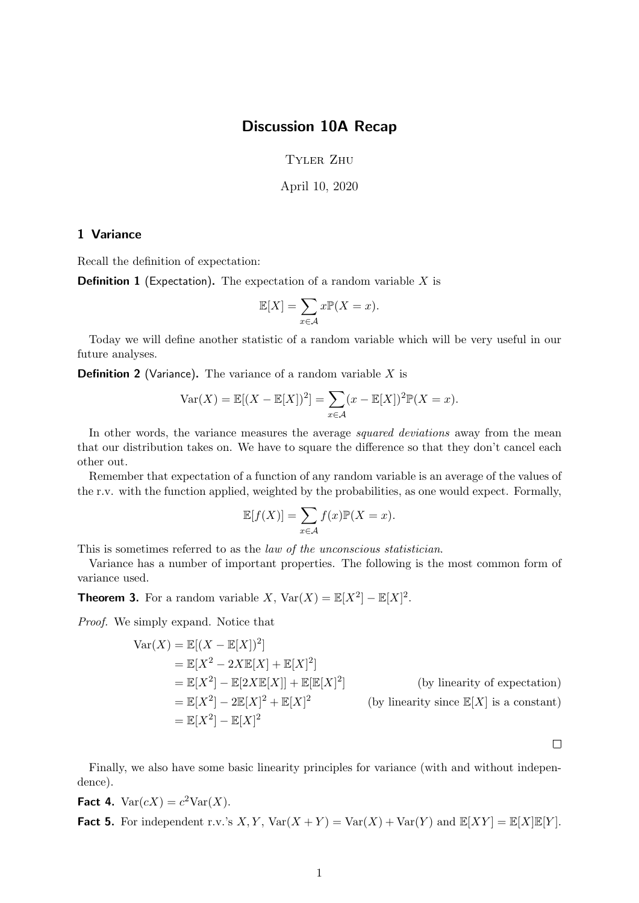## Discussion 10A Recap

Tyler Zhu

April 10, 2020

## 1 Variance

Recall the definition of expectation:

**Definition 1** (Expectation). The expectation of a random variable  $X$  is

$$
\mathbb{E}[X] = \sum_{x \in \mathcal{A}} x \mathbb{P}(X = x).
$$

Today we will define another statistic of a random variable which will be very useful in our future analyses.

**Definition 2** (Variance). The variance of a random variable  $X$  is

$$
Var(X) = \mathbb{E}[(X - \mathbb{E}[X])^2] = \sum_{x \in \mathcal{A}} (x - \mathbb{E}[X])^2 \mathbb{P}(X = x).
$$

In other words, the variance measures the average *squared deviations* away from the mean that our distribution takes on. We have to square the difference so that they don't cancel each other out.

Remember that expectation of a function of any random variable is an average of the values of the r.v. with the function applied, weighted by the probabilities, as one would expect. Formally,

$$
\mathbb{E}[f(X)] = \sum_{x \in \mathcal{A}} f(x) \mathbb{P}(X = x).
$$

This is sometimes referred to as the law of the unconscious statistician.

Variance has a number of important properties. The following is the most common form of variance used.

**Theorem 3.** For a random variable X,  $Var(X) = \mathbb{E}[X^2] - \mathbb{E}[X]^2$ .

Proof. We simply expand. Notice that

$$
\begin{aligned}\n\text{Var}(X) &= \mathbb{E}[(X - \mathbb{E}[X])^2] \\
&= \mathbb{E}[X^2 - 2X\mathbb{E}[X] + \mathbb{E}[X]^2] \\
&= \mathbb{E}[X^2] - \mathbb{E}[2X\mathbb{E}[X]] + \mathbb{E}[\mathbb{E}[X]^2] \\
&= \mathbb{E}[X^2] - 2\mathbb{E}[X]^2 + \mathbb{E}[X]^2\n\end{aligned}
$$
\n(by linearity of expectation)

\n
$$
= \mathbb{E}[X^2] - \mathbb{E}[X]^2 + \mathbb{E}[X]^2
$$
\n(by linearity since  $\mathbb{E}[X]$  is a constant)

\n
$$
= \mathbb{E}[X^2] - \mathbb{E}[X]^2
$$

 $\Box$ 

Finally, we also have some basic linearity principles for variance (with and without independence).

Fact 4.  $Var(cX) = c^2Var(X)$ .

**Fact 5.** For independent r.v.'s  $X, Y$ ,  $Var(X + Y) = Var(X) + Var(Y)$  and  $E[XY] = E[X]E[Y]$ .